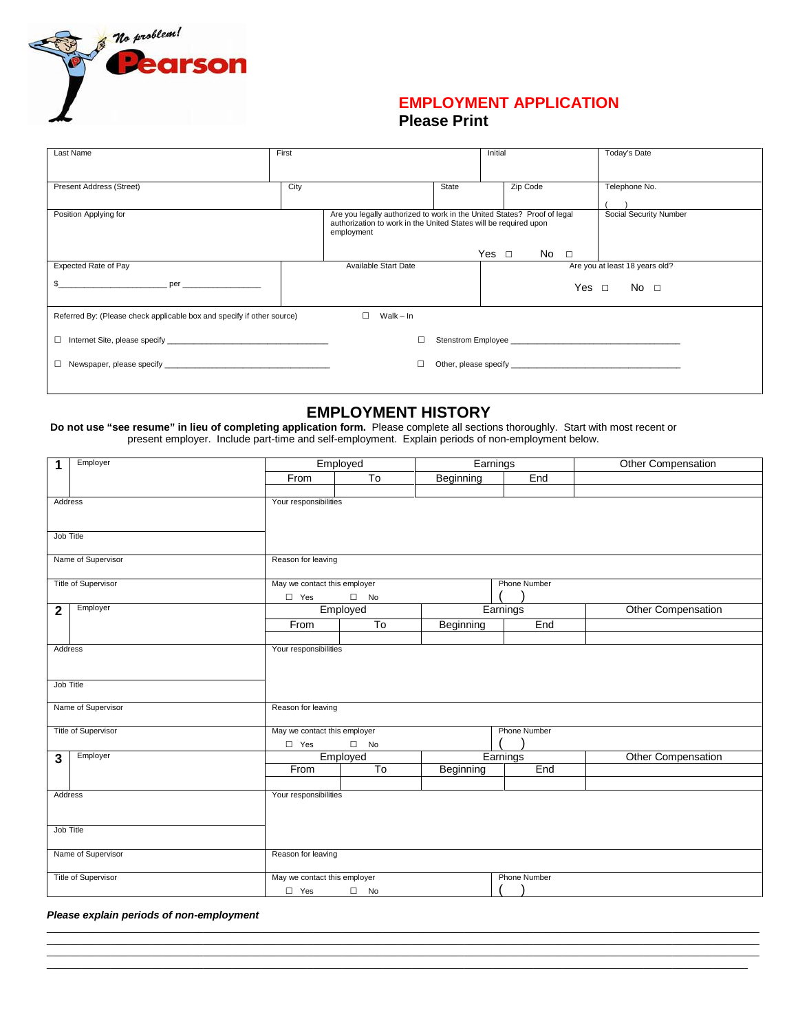

## **EMPLOYMENT APPLICATION Please Print**

| Last Name                                                                                                                                                                                                                                              | First |                                                                                                                                                           |       | Initial    |             |            | Today's Date                   |
|--------------------------------------------------------------------------------------------------------------------------------------------------------------------------------------------------------------------------------------------------------|-------|-----------------------------------------------------------------------------------------------------------------------------------------------------------|-------|------------|-------------|------------|--------------------------------|
| Present Address (Street)                                                                                                                                                                                                                               | City  |                                                                                                                                                           | State |            | Zip Code    |            | Telephone No.                  |
| Position Applying for                                                                                                                                                                                                                                  |       | Are you legally authorized to work in the United States? Proof of legal<br>authorization to work in the United States will be required upon<br>employment |       | Yes $\Box$ | $No$ $\Box$ |            | Social Security Number         |
| Expected Rate of Pay<br>per and the state of the state of the state of the state of the state of the state of the state of the state of the state of the state of the state of the state of the state of the state of the state of the state of the st |       | Available Start Date                                                                                                                                      |       |            |             | Yes □ No □ | Are you at least 18 years old? |
| $\Box$<br>$Walk - In$<br>Referred By: (Please check applicable box and specify if other source)                                                                                                                                                        |       |                                                                                                                                                           |       |            |             |            |                                |
| □                                                                                                                                                                                                                                                      |       |                                                                                                                                                           |       |            |             |            |                                |
|                                                                                                                                                                                                                                                        |       |                                                                                                                                                           |       |            |             |            |                                |

## **EMPLOYMENT HISTORY**

**Do not use "see resume" in lieu of completing application form.** Please complete all sections thoroughly. Start with most recent or present employer. Include part-time and self-employment. Explain periods of non-employment below.

| Employer<br>$\mathbf{1}$ | Employed                         |                              | Earnings  |                     | <b>Other Compensation</b> |  |  |
|--------------------------|----------------------------------|------------------------------|-----------|---------------------|---------------------------|--|--|
|                          | From                             | $\overline{10}$              | Beginning | End                 |                           |  |  |
|                          |                                  |                              |           |                     |                           |  |  |
| Address                  | Your responsibilities            |                              |           |                     |                           |  |  |
|                          |                                  |                              |           |                     |                           |  |  |
| Job Title                |                                  |                              |           |                     |                           |  |  |
|                          |                                  |                              |           |                     |                           |  |  |
| Name of Supervisor       | Reason for leaving               |                              |           |                     |                           |  |  |
|                          |                                  |                              |           |                     |                           |  |  |
| Title of Supervisor      |                                  | May we contact this employer |           |                     | <b>Phone Number</b>       |  |  |
|                          | $\square$ Yes                    | $\square$ No                 |           |                     |                           |  |  |
| Employer<br>$\mathbf{2}$ | Employed                         |                              | Earnings  |                     | Other Compensation        |  |  |
|                          | From                             | To                           | Beginning | End                 |                           |  |  |
|                          |                                  |                              |           |                     |                           |  |  |
| Address                  | Your responsibilities            |                              |           |                     |                           |  |  |
|                          |                                  |                              |           |                     |                           |  |  |
| Job Title                |                                  |                              |           |                     |                           |  |  |
|                          |                                  |                              |           |                     |                           |  |  |
| Name of Supervisor       | Reason for leaving               |                              |           |                     |                           |  |  |
|                          |                                  |                              |           |                     |                           |  |  |
| Title of Supervisor      | May we contact this employer     |                              |           | Phone Number        |                           |  |  |
|                          | $\Box$ Yes<br>$\qquad \qquad$ No |                              |           |                     |                           |  |  |
| Employer<br>3            |                                  | Employed                     | Earnings  |                     | Other Compensation        |  |  |
|                          | From                             | $\overline{10}$              | Beginning | End                 |                           |  |  |
|                          |                                  |                              |           |                     |                           |  |  |
| Address                  | Your responsibilities            |                              |           |                     |                           |  |  |
|                          |                                  |                              |           |                     |                           |  |  |
| Job Title                |                                  |                              |           |                     |                           |  |  |
|                          |                                  |                              |           |                     |                           |  |  |
| Name of Supervisor       | Reason for leaving               |                              |           |                     |                           |  |  |
|                          |                                  |                              |           |                     |                           |  |  |
| Title of Supervisor      | May we contact this employer     |                              |           | <b>Phone Number</b> |                           |  |  |
|                          | $\Box$ Yes<br>$\square$ No       |                              |           |                     |                           |  |  |

\_\_\_\_\_\_\_\_\_\_\_\_\_\_\_\_\_\_\_\_\_\_\_\_\_\_\_\_\_\_\_\_\_\_\_\_\_\_\_\_\_\_\_\_\_\_\_\_\_\_\_\_\_\_\_\_\_\_\_\_\_\_\_\_\_\_\_\_\_\_\_\_\_\_\_\_\_\_\_\_\_\_\_\_\_\_\_\_\_\_\_\_\_\_\_\_\_\_\_\_\_\_\_\_\_\_\_\_\_\_\_\_\_\_\_\_\_\_\_\_\_\_\_ \_\_\_\_\_\_\_\_\_\_\_\_\_\_\_\_\_\_\_\_\_\_\_\_\_\_\_\_\_\_\_\_\_\_\_\_\_\_\_\_\_\_\_\_\_\_\_\_\_\_\_\_\_\_\_\_\_\_\_\_\_\_\_\_\_\_\_\_\_\_\_\_\_\_\_\_\_\_\_\_\_\_\_\_\_\_\_\_\_\_\_\_\_\_\_\_\_\_\_\_\_\_\_\_\_\_\_\_\_\_\_\_\_\_\_\_\_\_\_\_\_\_\_ \_\_\_\_\_\_\_\_\_\_\_\_\_\_\_\_\_\_\_\_\_\_\_\_\_\_\_\_\_\_\_\_\_\_\_\_\_\_\_\_\_\_\_\_\_\_\_\_\_\_\_\_\_\_\_\_\_\_\_\_\_\_\_\_\_\_\_\_\_\_\_\_\_\_\_\_\_\_\_\_\_\_\_\_\_\_\_\_\_\_\_\_\_\_\_\_\_\_\_\_\_\_\_\_\_\_\_\_\_\_\_\_\_\_\_\_\_\_\_\_\_\_\_ \_\_\_\_\_\_\_\_\_\_\_\_\_\_\_\_\_\_\_\_\_\_\_\_\_\_\_\_\_\_\_\_\_\_\_\_\_\_\_\_\_\_\_\_\_\_\_\_\_\_\_\_\_\_\_\_\_\_\_\_\_\_\_\_\_\_\_\_\_\_\_\_\_\_\_\_\_\_\_\_\_\_\_\_\_\_\_\_\_\_\_\_\_\_\_\_\_\_\_\_\_\_\_\_\_\_\_\_\_\_\_\_\_\_\_\_\_\_\_\_\_

*Please explain periods of non-employment*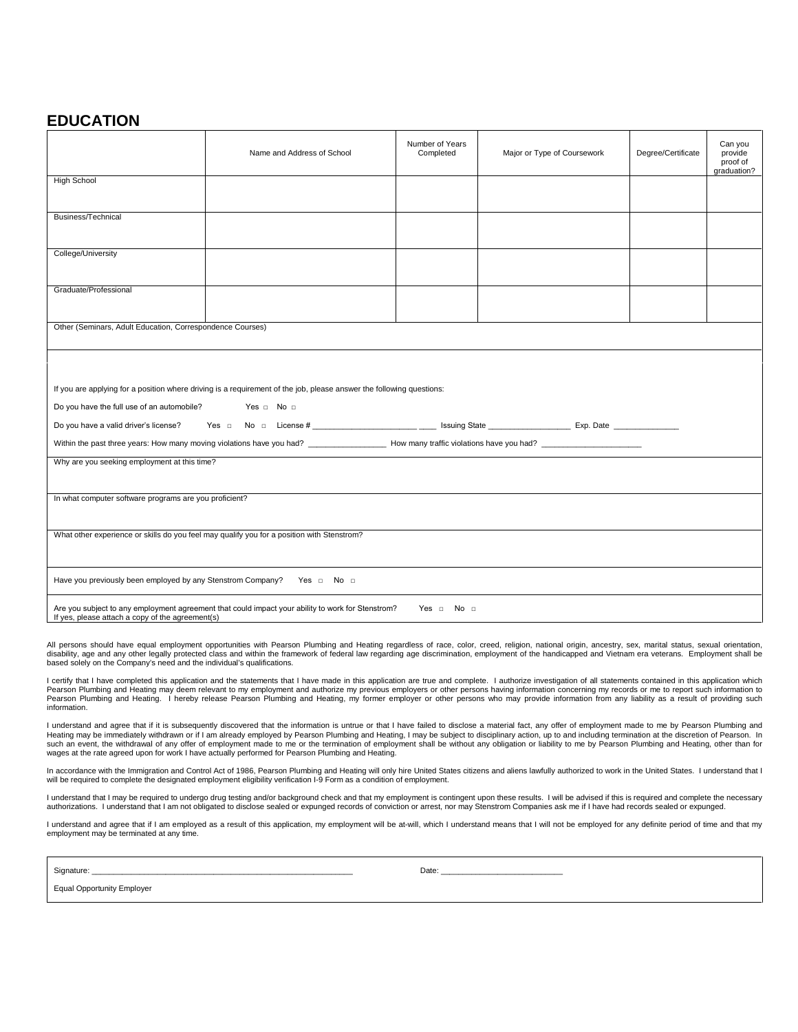## **EDUCATION**

|                                                                                                                                                                               | Name and Address of School                                                                                           | Number of Years<br>Completed | Major or Type of Coursework | Degree/Certificate | Can you<br>provide<br>proof of<br>graduation? |  |
|-------------------------------------------------------------------------------------------------------------------------------------------------------------------------------|----------------------------------------------------------------------------------------------------------------------|------------------------------|-----------------------------|--------------------|-----------------------------------------------|--|
| <b>High School</b>                                                                                                                                                            |                                                                                                                      |                              |                             |                    |                                               |  |
| Business/Technical                                                                                                                                                            |                                                                                                                      |                              |                             |                    |                                               |  |
| College/University                                                                                                                                                            |                                                                                                                      |                              |                             |                    |                                               |  |
| Graduate/Professional                                                                                                                                                         |                                                                                                                      |                              |                             |                    |                                               |  |
| Other (Seminars, Adult Education, Correspondence Courses)                                                                                                                     |                                                                                                                      |                              |                             |                    |                                               |  |
|                                                                                                                                                                               |                                                                                                                      |                              |                             |                    |                                               |  |
|                                                                                                                                                                               | If you are applying for a position where driving is a requirement of the job, please answer the following questions: |                              |                             |                    |                                               |  |
| Do you have the full use of an automobile? Yes n No n                                                                                                                         |                                                                                                                      |                              |                             |                    |                                               |  |
|                                                                                                                                                                               |                                                                                                                      |                              |                             |                    |                                               |  |
|                                                                                                                                                                               |                                                                                                                      |                              |                             |                    |                                               |  |
| Why are you seeking employment at this time?                                                                                                                                  |                                                                                                                      |                              |                             |                    |                                               |  |
| In what computer software programs are you proficient?                                                                                                                        |                                                                                                                      |                              |                             |                    |                                               |  |
| What other experience or skills do you feel may qualify you for a position with Stenstrom?                                                                                    |                                                                                                                      |                              |                             |                    |                                               |  |
| Have you previously been employed by any Stenstrom Company? Yes a No a                                                                                                        |                                                                                                                      |                              |                             |                    |                                               |  |
| Are you subject to any employment agreement that could impact your ability to work for Stenstrom?<br>Yes $\Box$ No $\Box$<br>If yes, please attach a copy of the agreement(s) |                                                                                                                      |                              |                             |                    |                                               |  |

All persons should have equal employment opportunities with Pearson Plumbing and Heating regardless of race, color, creed, religion, national origin, ancestry, sex, marital status, sexual orientation,<br>disabilty, age and an

I certify that I have completed this application and the statements that I have made in this application are true and complete. I authorize investigation of all statements contained in this application which Pearson Plumbing and Heating may deem relevant to my employment and authorize my previous employers or other persons having information concerning my records or me to report such information to<br>Pearson Plumbing and Heating information.

I understand and agree that if it is subsequently discovered that the information is untrue or that I have failed to disclose a material fact, any offer of employment made to me by Pearson Plumbing and Heating may be immediately withdrawn or if I am already employed by Pearson Plumbing and Heating, I may be subject to disciplinary action, up to and including termination at the discretion of Pearson. In<br>such an event, the wages at the rate agreed upon for work I have actually performed for Pearson Plumbing and Heating.

In accordance with the Immigration and Control Act of 1986, Pearson Plumbing and Heating will only hire United States citizens and aliens lawfully authorized to work in the United States. I understand that I<br>will be requir

I understand that I may be required to undergo drug testing and/or background check and that my employment is contingent upon these results. I will be advised if this is required and complete the necessary authorizations. I understand that I am not obligated to disclose sealed or expunged records of conviction or arrest, nor may Stenstrom Companies ask me if I have had records sealed or expunged.

I understand and agree that if I am employed as a result of this application, my employment will be at-will, which I understand means that I will not be employed for any definite period of time and that my employment may be terminated at any time.

Signature: \_\_\_\_\_\_\_\_\_\_\_\_\_\_\_\_\_\_\_\_\_\_\_\_\_\_\_\_\_\_\_\_\_\_\_\_\_\_\_\_\_\_\_\_\_\_\_\_\_\_\_\_\_\_\_\_\_\_\_\_ Date: \_\_\_\_\_\_\_\_\_\_\_\_\_\_\_\_\_\_\_\_\_\_\_\_\_\_\_\_

Equal Opportunity Employer